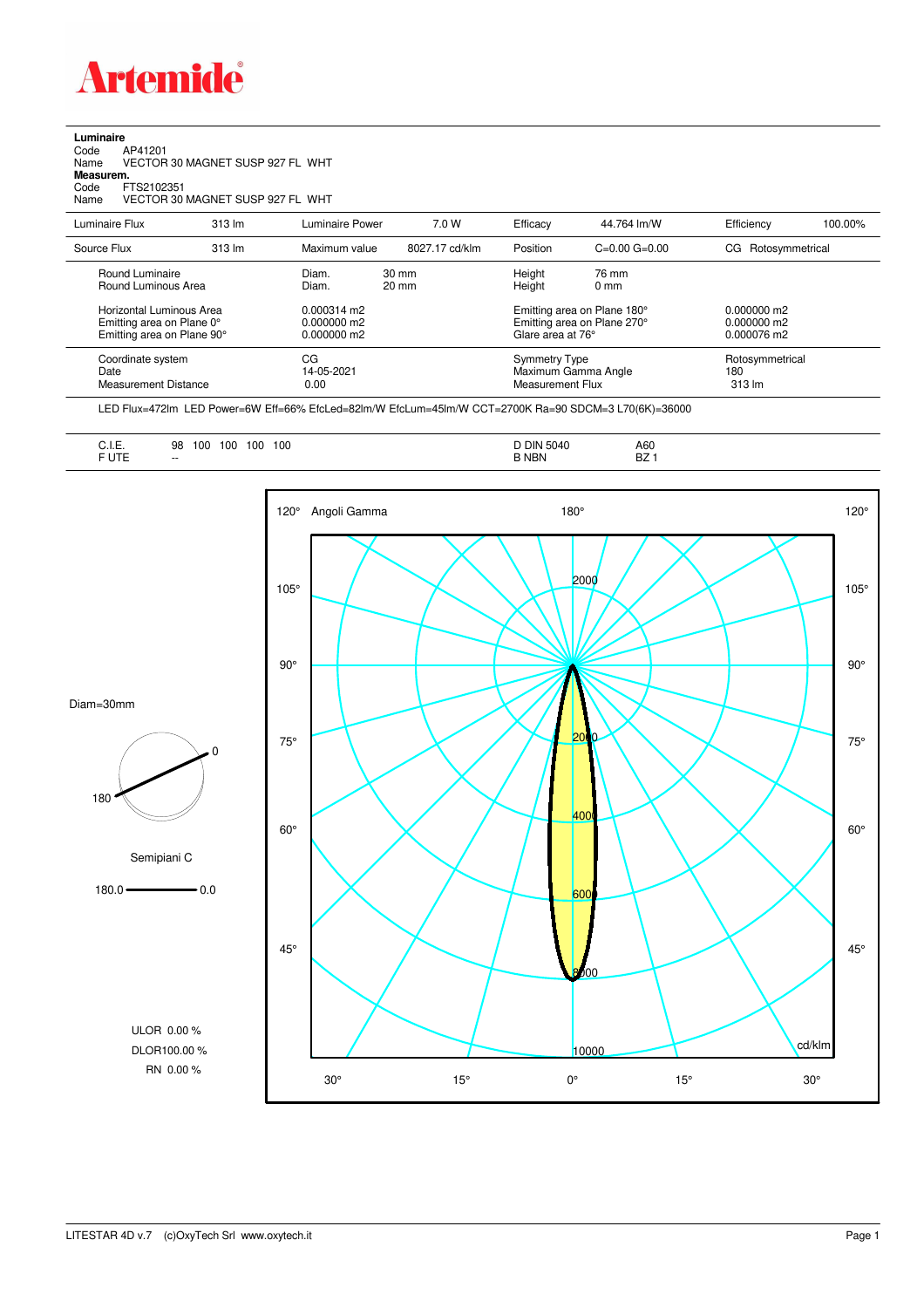

## **Luminaire** Code AP41201 Name VECTOR 30 MAGNET SUSP 927 FL WHT **Measurem.** Code FTS2102351 Name VECTOR 30 MAGNET SUSP 927 FL WHT

| Luminaire Flux                                                                      | $313 \text{ Im}$ | Luminaire Power                                      | 7.0 W          | Efficacy                                                        | 44.764 lm/W                                                                     | Efficiency                       | 100.00% |
|-------------------------------------------------------------------------------------|------------------|------------------------------------------------------|----------------|-----------------------------------------------------------------|---------------------------------------------------------------------------------|----------------------------------|---------|
| Source Flux                                                                         | 313 lm           | Maximum value                                        | 8027.17 cd/klm | Position                                                        | $C=0.00$ $G=0.00$                                                               | CG Rotosymmetrical               |         |
| Round Luminaire<br>Round Luminous Area                                              |                  | Diam.<br>$30 \text{ mm}$<br>Diam.<br>$20 \text{ mm}$ |                | Height<br>Height                                                | 76 mm<br>0 <sub>mm</sub>                                                        |                                  |         |
| Horizontal Luminous Area<br>Emitting area on Plane 0°<br>Emitting area on Plane 90° |                  | 0.000314 m2<br>0.000000 m2<br>0.000000 m2            |                |                                                                 | Emitting area on Plane 180°<br>Emitting area on Plane 270°<br>Glare area at 76° |                                  |         |
| Coordinate system<br>Date<br><b>Measurement Distance</b>                            |                  | CG<br>14-05-2021<br>0.00                             |                | <b>Symmetry Type</b><br>Maximum Gamma Angle<br>Measurement Flux |                                                                                 | Rotosymmetrical<br>180<br>313 lm |         |

LED Flux=472lm LED Power=6W Eff=66% EfcLed=82lm/W EfcLum=45lm/W CCT=2700K Ra=90 SDCM=3 L70(6K)=36000